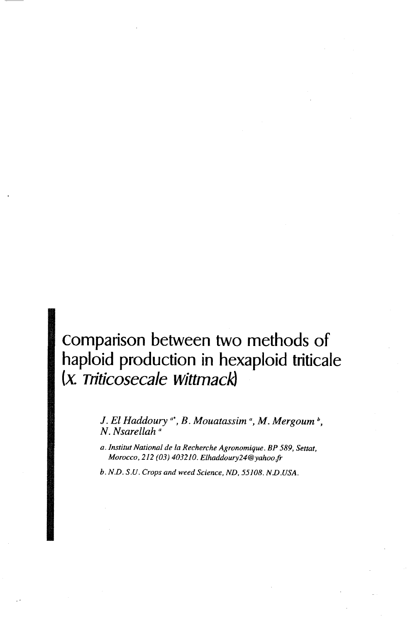# Comparison between two methods of haploid production in hexaploid triticale (x. Triticosecale Wittmack)

J. El Haddoury "\*, B. Mouatassim ", M. Mergoum ", N. Nsarellah «

a. Institut National de la Recherche Agronomique. BP 589, Settat, Morocco, 212 (03) 403210. Elhaddoury24@yahoo.fr

b. N.D. S.U. Crops and weed Science, ND, 55108. N.D.USA.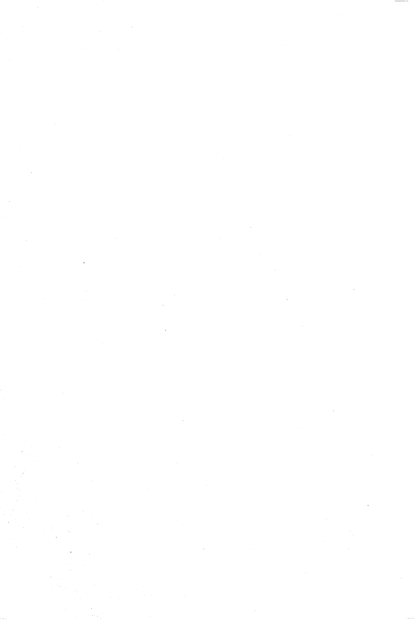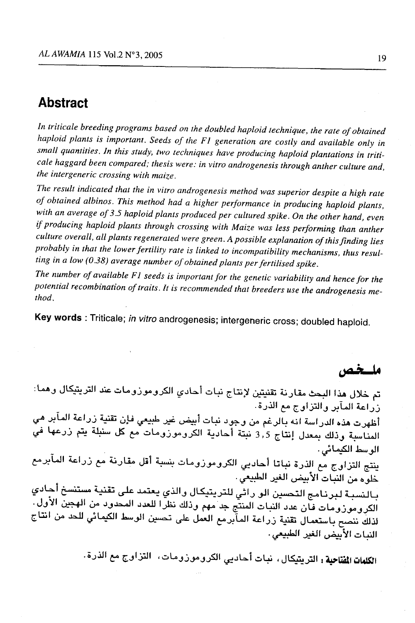### **Abstract**

In triticale breeding programs based on the doubled haploid technique, the rate of obtained haploid plants is important. Seeds of the F1 generation are costly and available only in small quantities. In this study, two techniques have producing haploid plantations in triticale haggard been compared; thesis were: in vitro androgenesis through anther culture and, the intergeneric crossing with maize.

The result indicated that the in vitro androgenesis method was superior despite a high rate of obtained albinos. This method had a higher performance in producing haploid plants, with an average of 3.5 haploid plants produced per cultured spike. On the other hand, even if producing haploid plants through crossing with Maize was less performing than anther culture overall, all plants regenerated were green. A possible explanation of this finding lies probably in that the lower fertility rate is linked to incompatibility mechanisms, thus resulting in a low  $(0.38)$  average number of obtained plants per fertilised spike.

The number of available F1 seeds is important for the genetic variability and hence for the potential recombination of traits. It is recommended that breeders use the androgenesis method.

Key words : Triticale; in vitro androgenesis; intergeneric cross; doubled haploid.

#### ملتخص

تم خلال هذا البحث مقارنة تقنيتين لإنتاج نبات أحادي الكروموزومات عند التريتيكال وهما: زراعة المآبر والتزاوج مع الذرة. أظهرت هذه الدراسة انه بالرغم من وجود نبات أبيض غير طبيعي فإن تقنية زراعة المآبر هي المناسبة وذلك بمعدل إنتاج 3,5 نبتة أحادية الكروموزومات مع كل سنبلة يتم زرعها في الوسط الكيمائي. ينتج التزاوج مَّع الذرة نباتا أحاديي الكروموزومات بنسبة أقل مقارنة مع زراعة المآبرمع خلوه من النبات الأبيض الغير الطبيعي. بالنسبة لبرنامج التحسين الو راثي للتريتيكال والذي يعتمد على تقنية مستنسخ أحادي الكروموزومات فان عدد النبات المنتج جد مهم وذلك نظرًا للعدد المحدود من الهجين الأول . لذلك ننصح باستعمال تقنية زراعة المآبرمع العمل على تحسين الوسط الكيمائي للحد من انتاج النبات الأبيض الغير الطبيعي.

ا**لكلمات الفتاحية ؛** التريتيكال ، نبـات أحـاديي الكروموزومـات ، التزاوج مع الذرة .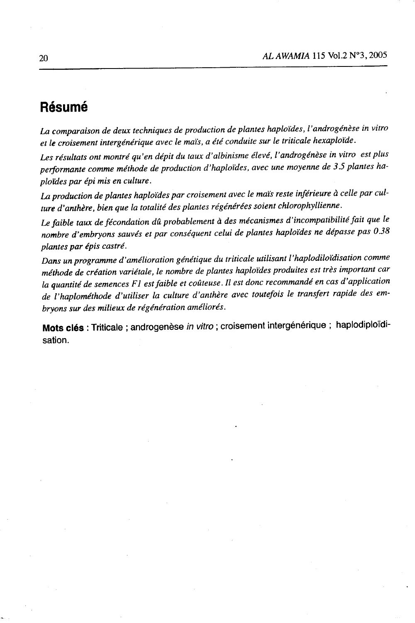# Résumé

La comparaison de deux techniques de production de plantes haploïdes, l'androgénèse in vitro et le croisement intergénérique avec le maïs, a été conduite sur le triticale hexaploïde.

Les résultats ont montré qu'en dépit du taux d'albinisme élevé, l'androgénèse in vitro est plus performante comme méthode de production d'haploïdes, avec une moyenne de 3.5 plantes haploïdes par épi mis en culture.

La production de plantes haploïdes par croisement avec le maïs reste inférieure à celle par culture d'anthère, bien que la totalité des plantes régénérées soient chlorophyllienne'

Le faible taux de fécondation dû probablement à des mécanismes d'incompatibilité fait que le nombre d'embryons sauvés et par conséquent celui de plantes haploïdes ne dépasse pas 0.38 plantes par épis castré.

Dans un programme d'amélioration génétique du triticale utilisant l'haplodiloïdisation comme méthode de création variétale, le nombre de plantes haploïdes produites est très important car la quantité de semences F1 est faible et coûteuse. Il est donc recommandé en cas d'application de l'haplométhode d'utiliser la culture d'anthère avec toutefois le transfert rapide des embryons sur des milieux de régénération améIiorés.

Mots clés : Triticale ; androgenèse in vitro ; croisement intergénérique ; haplodiploïdisation.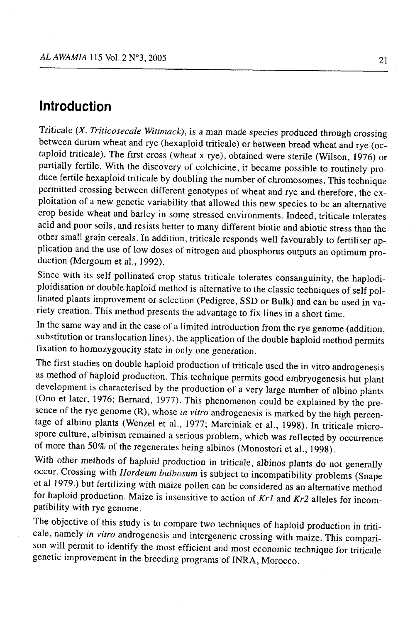#### Introduction

Triticale (X. Triticosecale Wittmack), is a man made species produced through crossing between durum wheat and rye (hexaploid triticale) or between bread wheat and rye (octaploid triticale). The first cross (wheat x rye), obtained were sterile (Wilson, 1976) or partially fertile. With the discovery of colchicine, it became possible to routinely produce fertile hexaploid triticale by doubling the number of chromosomes. This technique permitted crossing between different genotypes of wheat and rye and therefore, the exploitation of a new genetic variability that allowed this new species to be an alternative crop beside wheat and barley in some stressed environments. Indeed, triticale tolerates acid and poor soils, and resists better to many different biotic and abiotic stress than the other small grain cereals. In addition, triticale responds well favourably to fertiliser application and the use of low doses of nitrogen and phosphorus outputs an optimum production (Mergoum et al., 1992).

Since with its self pollinated crop status triticale tolerates consanguinity, the haplodiploidisation or double haploid method is alternative to the classic techniques of self pollinated plants improvement or selection (Pedigree, SSD or Bulk) and can be used in variety creation. This method presents the advantage to fix lines in a short time.

In the same way and in the case of a limited introduction from the rye genome (addition, substitution or translocation lines), the application of the double haploid method permits fixation to homozygoucity state in only one generation.

The first studies on double haploid production of triticale used the in vitro androgenesis as method of haploid production. This technique permits good embryogenesis but plant development is characterised by the production of a very large number of albino piants (Ono et later, 1976; Bernard, 1977). This phenomenon could be explained by the presence of the rye genome (R), whose in vitro androgenesis is marked by the high percentage of albino plants (Wenzel et al.,1977; Marciniak et al., 199g). In triticale microspore culture, albinism remained a serious problem, which was reflected by occurrence of more than 50% of the regenerates being albinos (Monostori et al., 1998).

With other methods of haploid production in triticale, albinos plants do not generally occur. Crossing with Hordeum bulbosum is subject to incompatibility problems (Snape et al 1979.) but fertilizing with maize pollen can be considered as an alternative method for haploid production. Maize is insensitive to action of  $Kr1$  and  $Kr2$  alleles for incompatibility with rye genome.

The objective of this study is to compare two techniques of haploid production in triticale, namely in vitro androgenesis and intergeneric crossing with maize. This comparison will permit to identify the most efficient and most economic technique for triticale genetic improvement in the breeding programs of INRA, Morocco.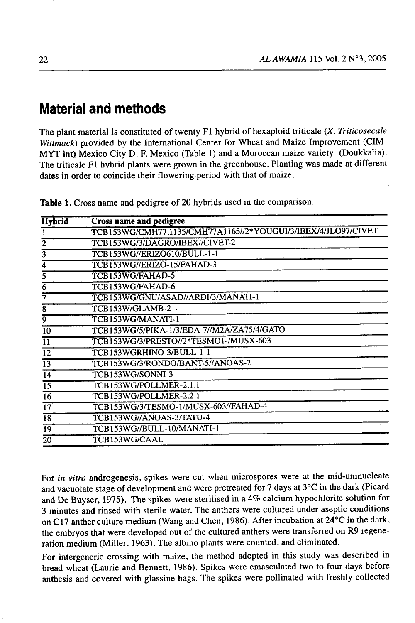#### Material and methods

The plant material is constituted of twenty F1 hybrid of hexaploid triticale (X. Triticosecale Wittmack) provided by the International Center for Wheat and Maize Improvement (CIM-MYT int) Mexico City D. F. Mexico (Table 1) and a Moroccan maize variety (Doukkalia). The triticale Fl hybrid plants were grown in the greenhouse. Planting was made at different dates in order to coincide their flowering period with that of maize.

| Table 1. Cross name and pedigree of 20 hybrids used in the comparison. |  |  |  |  |
|------------------------------------------------------------------------|--|--|--|--|
|------------------------------------------------------------------------|--|--|--|--|

| <b>Cross name and pedigree</b>                                |  |  |  |  |  |  |  |  |
|---------------------------------------------------------------|--|--|--|--|--|--|--|--|
| TCB153WG/CMH77.1135/CMH77A1165//2*YOUGUI/3/IBEX/4/JLO97/CIVET |  |  |  |  |  |  |  |  |
| TCB153WG/3/DAGRO/IBEX//CIVET-2                                |  |  |  |  |  |  |  |  |
| TCB153WG//ERIZO610/BULL-1-1                                   |  |  |  |  |  |  |  |  |
| TCB153WG//ERIZO-15/FAHAD-3                                    |  |  |  |  |  |  |  |  |
| TCB153WG/FAHAD-5                                              |  |  |  |  |  |  |  |  |
| TCB153WG/FAHAD-6                                              |  |  |  |  |  |  |  |  |
| TCB153WG/GNU/ASAD//ARDI/3/MANATI-1                            |  |  |  |  |  |  |  |  |
| TCB153W/GLAMB-2                                               |  |  |  |  |  |  |  |  |
| TCB153WG/MANATI-1                                             |  |  |  |  |  |  |  |  |
| TCB153WG/5/PIKA-1/3/EDA-7//M2A/ZA75/4/GATO                    |  |  |  |  |  |  |  |  |
| TCB153WG/3/PRESTO//2*TESMO1-/MUSX-603                         |  |  |  |  |  |  |  |  |
| TCB153WGRHINO-3/BULL-1-1                                      |  |  |  |  |  |  |  |  |
| TCB153WG/3/RONDO/BANT-5//ANOAS-2                              |  |  |  |  |  |  |  |  |
| TCB153WG/SONNI-3                                              |  |  |  |  |  |  |  |  |
| TCB153WG/POLLMER-2.1.1                                        |  |  |  |  |  |  |  |  |
| TCB153WG/POLLMER-2.2.1                                        |  |  |  |  |  |  |  |  |
| TCB153WG/3/TESMO-1/MUSX-603//FAHAD-4                          |  |  |  |  |  |  |  |  |
| TCB153WG//ANOAS-3/TATU-4                                      |  |  |  |  |  |  |  |  |
| TCB153WG//BULL-10/MANATI-1                                    |  |  |  |  |  |  |  |  |
| TCB153WG/CAAL                                                 |  |  |  |  |  |  |  |  |
|                                                               |  |  |  |  |  |  |  |  |

For in vitro androgenesis, spikes were cut when microspores were at the mid-uninucleate and vacuolate stage of development and were pretreated for 7 days at 3°C in the dark (Picard and De Buyser, 1975). The spikes were sterilised in a 4% calcium hypochlorite solution for 3 minutes and rinsed with sterile water. The anthers were cultured under aseptic conditions on C17 anther culture medium (Wang and Chen, 1986). After incubation at 24°C in the dark, the embryos that were developed out of the cultured anthers were transferred on R9 regeneration medium (Miller, 1963). The albino plants were counted, and eliminated.

For intergeneric crossing with maize, the method adopted in this study was described in bread wheat (Laurie and Bennett, 1986). Spikes were emasculated two to four days before anthesis and covered with glassine bags. The spikes were pollinated with freshly collected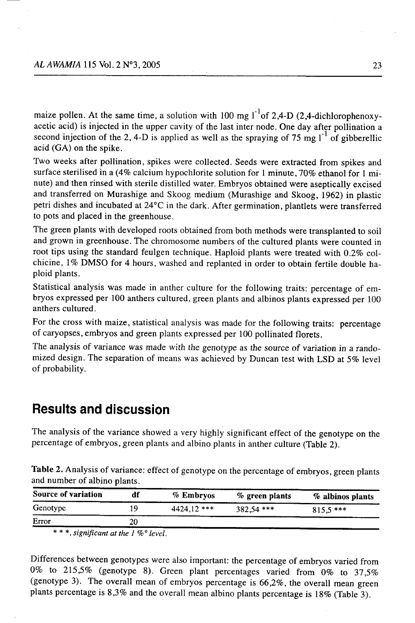maize pollen. At the same time, a solution with 100 mg  $1^{-1}$  of 2.4-D (2.4-dichlorophenoxyacetic acid) is injected in the upper cavity of the last inter node. One day after pollination a second injection of the 2, 4-D is applied as well as the spraying of 75 mg  $1^{-1}$  of gibberellic acid (GA) on the spike.

Two weeks after pollination, spikes were collected. Seeds were extracted from spikes and surface sterilised in a (4% calcium hypochlorite solution for 1 minute, 70% ethanol for 1 minute) and then rinsed with sterile distilled water. Embryos obtained were aseptically excised and transferred on Murashige and Skoog medium (Murashige and Skoog , 1962) in plastic petri dishes and incubated at24"C in the dark. After germination, plantlets were transferred to pots and placed in the greenhouse.

The green plants with developed roots obtained from both methods were transplanted to soil and grown in greenhouse. The chromosome numbers of the cultured plants were counted in root tips using the standard feulgen technique. Haploid plants were treated with  $0.2\%$  colchicine, 1% DMSO for 4 hours, washed and replanted in order to obtain fertile double haploid plants.

Statistical analysis was made in anther culture for the following traits: percentage of embryos expressed per 100 anthers cultured, green plants and albinos plants expressed per 100 anthers cultured.

For the cross with maize, statistical analysis was made for the following traits: percentage of caryopses, embryos and green plants expressed per 100 pollinated florets.

The analysis of variance was made with the genotype as the source of variation in a randomized design. The separation of means was achieved by Duncan test with LSD at 5% level of probability.

#### Results and discussion

The analysis of the variance showed a very highly significant effect of the genotype on the percentage of embryos, green plants and albino plants in anther culture (Table 2).

| fable 2. Analysis of variance: effect of genotype on the percentage of embryos, green plants |  |  |  |
|----------------------------------------------------------------------------------------------|--|--|--|
| and number of albino plants.                                                                 |  |  |  |

| Source of variation | df | % Embryos   | % green plants | % albinos plants |  |
|---------------------|----|-------------|----------------|------------------|--|
| Genotype            | 19 | 4424.12 *** | $382.54$ ***   | $815.5$ ***      |  |
| Error               | 20 |             |                |                  |  |
| .                   |    |             |                |                  |  |

 $***$ , significant at the 1 % level.

Differences between genotypes were also important; the percentage of embryos varied from 0% to 215,5% (genotype 8). Green plant percentages varied from 0% to 37,5% (genotype 3). The overall mean of embryos percentage is  $66,2\%$ , the overall mean green plants percentage is  $8.3\%$  and the overall mean albino plants percentage is  $18\%$  (Table 3).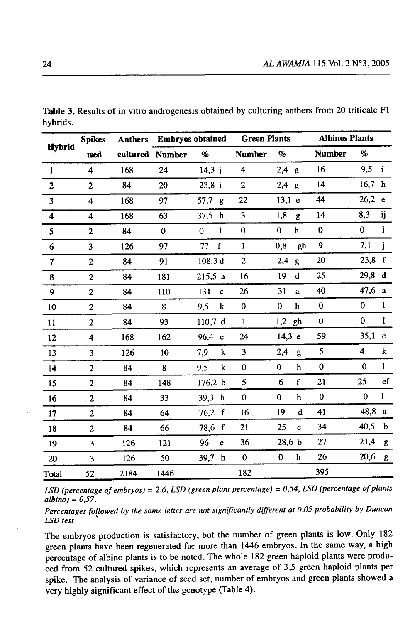|                         | <b>Spikes</b>           | Anthers |                 | <b>Embryos obtained</b>  | <b>Green Plants</b>     |                                        | <b>Albinos Plants</b> |          |                                   |
|-------------------------|-------------------------|---------|-----------------|--------------------------|-------------------------|----------------------------------------|-----------------------|----------|-----------------------------------|
| Hybrid                  | used                    |         | cultured Number | %                        | <b>Number</b>           | $\%$                                   | <b>Number</b>         | $\%$     |                                   |
| $\mathbf{1}$            | $\overline{\mathbf{4}}$ | 168     | 24              | 14,3j                    | $\overline{\mathbf{4}}$ | 2,4<br>$\mathbf{g}$                    | 16                    | 9,5      | $\mathbf{i}$                      |
| $\overline{2}$          | $\mathbf{2}$            | 84      | 20              | 23,8 i                   | $\overline{c}$          | $2,4$ g                                | 14                    | 16,7 h   |                                   |
| 3                       | $\overline{\mathbf{4}}$ | 168     | 97              | $57,7$ g                 | 22                      | $13,1$ e                               | 44                    | 26,2     | e                                 |
| $\overline{\mathbf{4}}$ | $\overline{\mathbf{4}}$ | 168     | 63              | 37,5 h                   | 3                       | 1,8<br>g                               | 14                    | 8,3      | ij                                |
| 5                       | $\mathbf{2}$            | 84      | $\bf{0}$        | $\mathbf{I}$<br>$\bf{0}$ | $\pmb{0}$               | $\boldsymbol{\mathsf{h}}$<br>$\pmb{0}$ | $\pmb{0}$             | 0        | 1                                 |
| 6                       | $\overline{\mathbf{3}}$ | 126     | 97              | $\mathbf f$<br>77        | $\mathbf{1}$            | gh<br>0,8                              | 9                     | 7,1      | j.                                |
| $\overline{7}$          | $\mathbf{2}$            | 84      | 91              | 108,3d                   | $\overline{c}$          | 2,4<br>g                               | 20                    | $23,8$ f |                                   |
| ${\bf 8}$               | $\overline{c}$          | 84      | 181             | 215,5a                   | 16                      | 19<br>d                                | 25                    | $29,8$ d |                                   |
| 9                       | $\overline{2}$          | 84      | 110             | 131<br>$\mathbf c$       | 26                      | 31<br>a                                | 40                    | 47,6     | a                                 |
| 10                      | $\overline{c}$          | 84      | 8               | 9,5<br>k                 | $\bf{0}$                | $\pmb{0}$<br>h                         | $\pmb{0}$             | $\bf{0}$ | 1                                 |
| 11                      | $\overline{2}$          | 84      | 93              | 110,7d                   | $\mathbf{1}$            | $1,2$ gh                               | $\pmb{0}$             | $\bf{0}$ | $\mathbf{I}$                      |
| 12                      | 4                       | 168     | 162             | 96,4 e                   | 24                      | 14,3 e                                 | 59                    | 35,1     | $\mathbf c$                       |
| 13                      | 3                       | 126     | 10              | 7,9<br>${\bf k}$         | 3                       | 2,4<br>$\mathbf{g}$                    | 5                     | 4        | k                                 |
| 14                      | $\overline{2}$          | 84      | 8               | 9,5<br>$\bf k$           | $\bf{0}$                | h<br>$\bf{0}$                          | $\bf{0}$              | $\bf{0}$ | $\mathbf{I}$                      |
| 15                      | $\mathbf{2}$            | 84      | 148             | 176,2 b                  | 5                       | $\mathbf f$<br>6                       | 21                    | 25       | ${\mathop{\mathrm{ef}}\nolimits}$ |
| 16                      | $\mathbf{2}$            | 84      | 33              | 39,3 h                   | $\bf{0}$                | $\mathbf h$<br>$\bf{0}$                | $\bf{0}$              | $\bf{0}$ | $\mathbf{I}$                      |
| 17                      | $\overline{c}$          | 84      | 64              | $76,2 \text{ f}$         | 16 <sub>1</sub>         | 19<br>d                                | 41                    | 48,8     | $\mathbf{a}$                      |
| 18                      | $\boldsymbol{2}$        | 84      | 66              | 78,6 f                   | 21                      | 25<br>$\mathbf{c}$                     | 34                    | 40,5     | b                                 |
| 19                      | 3                       | 126     | 121             | 96<br>$\mathbf e$        | 36                      | $28,6$ b                               | 27                    | 21,4     | g                                 |
| 20                      | 3                       | 126     | 50              | 39,7 h                   | $\bf{0}$                | $\bf{0}$<br>$\mathbf h$                | 26                    | 20,6     | g                                 |
| Total                   | 52                      | 2184    | 1446            |                          | 182                     |                                        | 395                   |          |                                   |

Table 3. Results of in vitro androgenesis obtained by culturing anthers from 20 triticale Fl hybrids.

LSD (percentage of embryos) = 2,6, LSD (green plant percentage) = 0,54, LSD (percentage of plants  $albino = 0,57.$ 

Percentages followed by the same letter are not significantly different at 0.05 probability by Duncan LSD test

The embryos production is satisfactory, but the number of green plants is low. Only 182 green plants have been regenerated for more than 1446 embryos. In the same way, a high percentage of albino plants is to be noted. The whole 182 green haploid plants were produced from 52 cultured spikes, which represents an average of 3,5 green haploid plants per spike. The analysis of variance of seed set, number of embryos and green plants showed a very highly significant effect of the genotype (Table 4).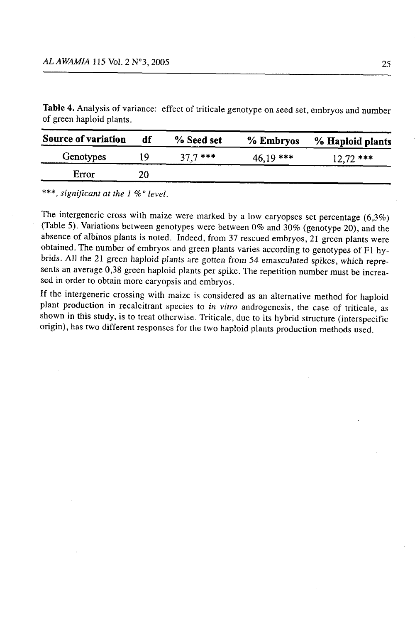Table 4. Analysis of variance: effect of triticale genotype on seed set, embryos and number of green haploid plants.

| <b>Source of variation</b> | df  | % Seed set | % Embryos   | % Haploid plants |
|----------------------------|-----|------------|-------------|------------------|
| Genotypes                  | 1 Q | $377$ ***  | $46.19$ *** | $12.72$ ***      |
| Error                      | 20  |            |             |                  |

\*\*\*, significant at the  $1\%$  level.

The intergeneric cross with maize were marked by a low caryopses set percentage  $(6,3\%)$ (Table 5). Variations between genotypes were between  $0\%$  and  $30\%$  (genotype 20), and the absence of albinos plants is noted. Indeed, from 37 rescued embryos, 21 green plants were obtained. The number of embryos and green plants varies according to genotypes of F1 hybrids. All the 21 green haploid plants are gotten from 54 emasculated spikes, which represents an average 0,38 green haploid plants per spike. The repetition number must be increased in order to obtain more caryopsis and embryos.

If the intergeneric crossing with maize is considered as an alternative method for haploid plant production in recalcitrant species to in vitro androgenesis, the case of triticale, as shown in this study, is to treat otherwise. Triticale, due to its hybrid structure (interspecific origin), has two different responses for the two haploid plants production methods used.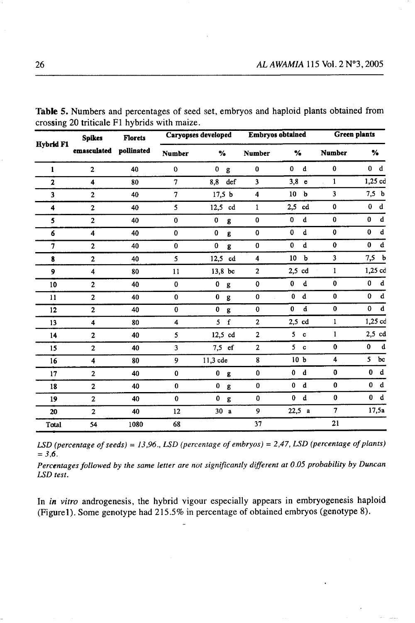|              | <b>Spikes</b>          | <b>Florets</b> | Caryopses developed     |              |              | Embryos obtained        |                 |             | <b>Green plants</b>     |                             |  |
|--------------|------------------------|----------------|-------------------------|--------------|--------------|-------------------------|-----------------|-------------|-------------------------|-----------------------------|--|
| Hybrid F1    | emasculated pollinated |                | <b>Number</b>           | %            |              | <b>Number</b>           | %               |             | <b>Number</b>           | $\frac{9}{6}$               |  |
| $\mathbf{1}$ | 2                      | 40             | $\mathbf 0$             | 0 g          |              | $\bf{0}$                | $\bf{0}$        | d           | $\bf{0}$                | 0 d                         |  |
| $\mathbf 2$  | 4                      | 80             | 7                       | 8,8          | def          | $\overline{\mathbf{3}}$ | $3,8$ e         |             | $\mathbf{1}$            | 1,25 cd                     |  |
| 3            | $\mathbf{2}$           | 40             | 7                       | 17,5 b       |              | $\overline{\mathbf{4}}$ | 10              | b           | $\overline{\mathbf{3}}$ | $7,5$ b                     |  |
| 4            | $\boldsymbol{2}$       | 40             | 5                       | 12,5 cd      |              | $\mathbf{1}$            | 2,5             | cd          | 0                       | 0 d                         |  |
| 5            | $\mathbf{2}$           | 40             | 0                       | 0            | g            | 0                       | 0               | d           | $\bf{0}$                | $\bf{0}$<br>$\mathbf d$     |  |
| 6            | 4                      | 40             | 0                       | $\bf{0}$     | g            | $\bf{0}$                | $\bf{0}$        | d           | $\bf{0}$                | $\bf{0}$<br>d               |  |
| 7            | $\mathbf{2}$           | 40             | 0                       | 0            | g            | $\bf{0}$                | 0               | $\mathbf d$ | $\bf{0}$                | $\mathbf{0}$<br>d           |  |
| 8            | 2                      | 40             | 5                       | 12,5 cd      |              | 4                       | 10              | $\mathbf b$ | 3                       | $7,5$ b                     |  |
| 9            | 4                      | 80             | 11                      | $13,8$ bc    |              | $\overline{2}$          | $2,5$ cd        |             | 1                       | 1,25 cd                     |  |
| 10           | $\mathbf 2$            | 40             | 0                       | $\bf{0}$     | g            | $\bf{0}$                | $\bf{0}$        | d           | 0                       | $\bf{0}$<br>d               |  |
| 11           | $\mathbf 2$            | 40             | $\bf{0}$                | $\mathbf 0$  | g            | $\bf{0}$                | $\pmb{0}$       | $\mathbf d$ | $\bf{0}$                | $\bf{0}$<br>d               |  |
| 12           | $\mathbf{2}$           | 40             | $\bf{0}$                | $\mathbf{0}$ | g            | $\bf{0}$                | $\bf{0}$        | d           | $\bf{0}$                | $\bf{0}$<br>$\mathbf d$     |  |
| 13           | 4                      | 80             | $\overline{\mathbf{4}}$ | 5 f          |              | $\overline{2}$          | $2,5$ cd        |             | $\mathbf{1}$            | 1,25 cd                     |  |
| 14           | $\mathbf{2}$           | 40             | 5                       | 12,5 cd      |              | $\overline{2}$          | 5 <sub>c</sub>  |             | $\mathbf{1}$            | $2,5$ cd                    |  |
| 15           | $\mathbf{2}$           | 40             | 3                       | $7,5$ ef     |              | $\overline{2}$          | 5 <sub>c</sub>  |             | $\bf{0}$                | $\mathbf{0}$<br>$\mathbf d$ |  |
| 16           | 4                      | 80             | 9                       | 11,3 cde     |              | 8                       | 10 <sub>b</sub> |             | 4                       | 5<br>bc                     |  |
| 17           | $\overline{2}$         | 40             | 0                       | $\bf{0}$     | g            | 0                       | 0 d             |             | $\bf{0}$                | $\bf{0}$<br>$\mathbf d$     |  |
| 18           | $\mathbf 2$            | 40             | $\bf{0}$                | $\bf{0}$     | g            | $\mathbf 0$             | $0$ d           |             | $\bf{0}$                | $\mathbf 0$<br>$\mathbf d$  |  |
| 19           | $\mathbf{2}$           | 40             | 0                       | $\mathbf{0}$ | $\mathbf{g}$ | 0                       | 0 d             |             | 0                       | 0 d                         |  |
| 20           | $\mathbf{2}$           | 40             | 12                      | 30a          |              | 9                       | 22,5 a          |             | 7                       | 17,5a                       |  |
| Total        | 54                     | 1080           | 68                      |              |              | 37                      |                 |             | 21                      |                             |  |

Table 5. Numbers and percentages of seed set, embryos and haploid plants obtained from crossing 20 triticale Fl hybrids with maize.

LSD (percentage of seeds) =  $13,96$ ., LSD (percentage of embryos) = 2,47, LSD (percentage of plants)  $= 3.6.$ 

Percentages followed by the same letter are not significantly different at 0.05 probability by Duncan LSD test.

In *in vitro* androgenesis, the hybrid vigour especially appears in embryogenesis haploid (Figure 1). Some genotype had 215.5% in percentage of obtained embryos (genotype 8).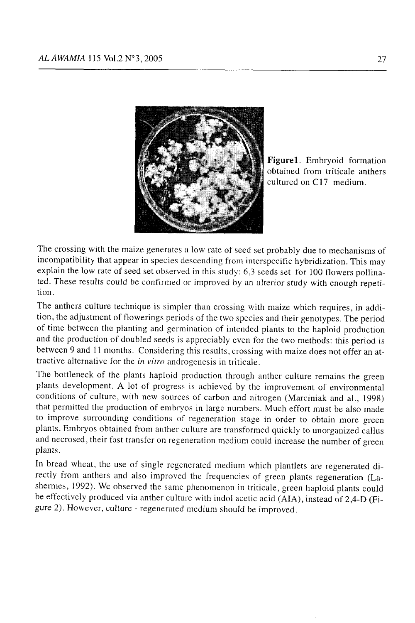

Figurel. Embryoid formation obtained from triticale anthers cultured on Cl7 medium.

The crossing with the maize generates a low rate of seed set probably due to mechanisms of incompatibility that appear in species descending from interspecific hybridization. This may explain the low rate of seed set observed in this study: 6,3 seeds set for 100 flowers pollinated. These results could be confirmed or improved by an ulterior study with enough repetition.

The anthers culture technique is simpler than crossing with maize which requires, in addition, the adjustment of flowerings periods of the two species and their genotypes. The periocl of time between the planting and germination of intended plants to the haploid production and the production of doubled seeds is appreciably even for the two methods: this period is between 9 and 11 months. Considering this results, crossing with maize does not offer an attractive alternative for the in vitro androgenesis in triticale.

The bottleneck of the plants haploid production through anther culture remains the green plants development. A lot of progress is achieved by the improvement of environmental conditions of culture, with new sources of carbon and nitrogen (Marciniak and al., 1998) that permitted the production of embryos in large numbers. Much effort must be also made to improve surrounding conditions of regeneration stage in order to obtain more green plants. Embryos obtained from anther culture are transformed quickly to unorganized callus and necrosed, their fast transfer on regeneration medium could increase the number of green plants.

In bread wheat, the use of single regenerated medium which plantlets are regenerated directly from anthers and also improved the frequencies of green plants regeneration (Lashermes, 1992). We observed the same phenomenon in triticale, green haploid plants could be effectively produced via anther culture with indol acetic acid (AIA), instead of 2,4-D (Figure 2). However, culture - regenerated medium should be improved.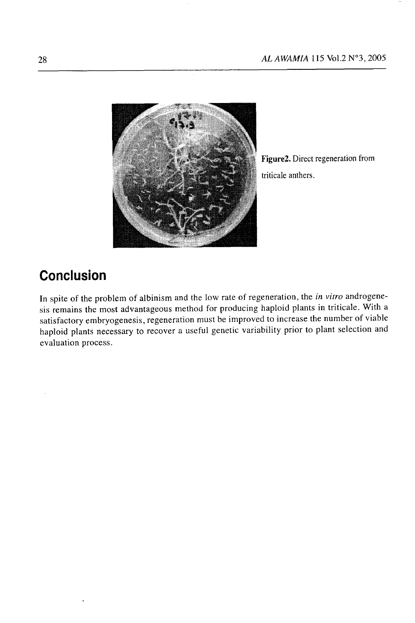

Figure2. Direct regeneration from triticale anthers.

# Conclusion

In spite of the problem of albinism and the low rate of regeneration, the in vitro androgenesis remains the most advantageous method for producing haploid plants in triticale. With a satisfactory embryogenesis, regeneration must be improved to increase the number of viable haploid plants necessary to recover a useful genetic variability prior to plant selection and evaluation process.